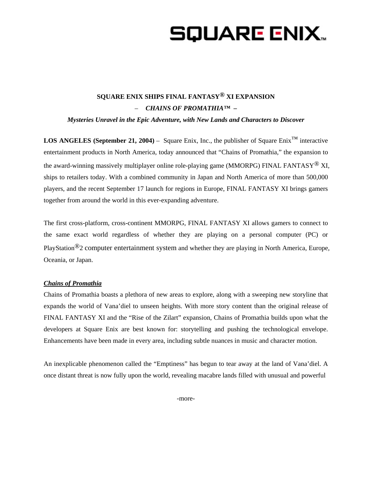# SQUARE ENIX..

# **SQUARE ENIX SHIPS FINAL FANTASY® XI EXPANSION**  – *CHAINS OF PROMATHIA™ –*

*Mysteries Unravel in the Epic Adventure, with New Lands and Characters to Discover* 

**LOS ANGELES (September 21, 2004)** – Square Enix, Inc., the publisher of Square Enix<sup>™</sup> interactive entertainment products in North America, today announced that "Chains of Promathia," the expansion to the award-winning massively multiplayer online role-playing game (MMORPG) FINAL FANTASY*®* XI, ships to retailers today. With a combined community in Japan and North America of more than 500,000 players, and the recent September 17 launch for regions in Europe, FINAL FANTASY XI brings gamers together from around the world in this ever-expanding adventure.

The first cross-platform, cross-continent MMORPG, FINAL FANTASY XI allows gamers to connect to the same exact world regardless of whether they are playing on a personal computer (PC) or PlayStation®2 computer entertainment system and whether they are playing in North America, Europe, Oceania, or Japan.

# *Chains of Promathia*

Chains of Promathia boasts a plethora of new areas to explore, along with a sweeping new storyline that expands the world of Vana'diel to unseen heights. With more story content than the original release of FINAL FANTASY XI and the "Rise of the Zilart" expansion, Chains of Promathia builds upon what the developers at Square Enix are best known for: storytelling and pushing the technological envelope. Enhancements have been made in every area, including subtle nuances in music and character motion.

An inexplicable phenomenon called the "Emptiness" has begun to tear away at the land of Vana'diel. A once distant threat is now fully upon the world, revealing macabre lands filled with unusual and powerful

-more-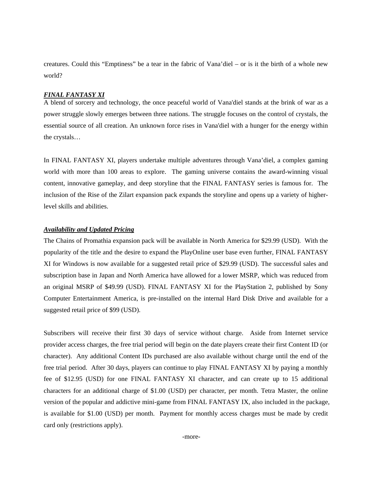creatures. Could this "Emptiness" be a tear in the fabric of Vana'diel – or is it the birth of a whole new world?

#### *FINAL FANTASY XI*

A blend of sorcery and technology, the once peaceful world of Vana'diel stands at the brink of war as a power struggle slowly emerges between three nations. The struggle focuses on the control of crystals, the essential source of all creation. An unknown force rises in Vana'diel with a hunger for the energy within the crystals…

In FINAL FANTASY XI, players undertake multiple adventures through Vana'diel, a complex gaming world with more than 100 areas to explore. The gaming universe contains the award-winning visual content, innovative gameplay, and deep storyline that the FINAL FANTASY series is famous for. The inclusion of the Rise of the Zilart expansion pack expands the storyline and opens up a variety of higherlevel skills and abilities.

#### *Availability and Updated Pricing*

The Chains of Promathia expansion pack will be available in North America for \$29.99 (USD). With the popularity of the title and the desire to expand the PlayOnline user base even further, FINAL FANTASY XI for Windows is now available for a suggested retail price of \$29.99 (USD). The successful sales and subscription base in Japan and North America have allowed for a lower MSRP, which was reduced from an original MSRP of \$49.99 (USD). FINAL FANTASY XI for the PlayStation 2, published by Sony Computer Entertainment America, is pre-installed on the internal Hard Disk Drive and available for a suggested retail price of \$99 (USD).

Subscribers will receive their first 30 days of service without charge. Aside from Internet service provider access charges, the free trial period will begin on the date players create their first Content ID (or character). Any additional Content IDs purchased are also available without charge until the end of the free trial period. After 30 days, players can continue to play FINAL FANTASY XI by paying a monthly fee of \$12.95 (USD) for one FINAL FANTASY XI character, and can create up to 15 additional characters for an additional charge of \$1.00 (USD) per character, per month. Tetra Master, the online version of the popular and addictive mini-game from FINAL FANTASY IX, also included in the package, is available for \$1.00 (USD) per month. Payment for monthly access charges must be made by credit card only (restrictions apply).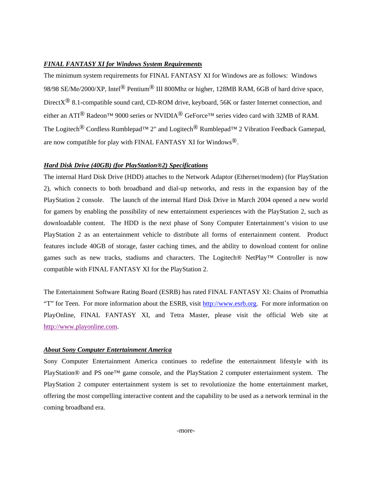# *FINAL FANTASY XI for Windows System Requirements*

The minimum system requirements for FINAL FANTASY XI for Windows are as follows: Windows 98/98 SE/Me/2000/XP, Intel<sup>®</sup> Pentium<sup>®</sup> III 800Mhz or higher, 128MB RAM, 6GB of hard drive space, DirectX® 8.1-compatible sound card, CD-ROM drive, keyboard, 56K or faster Internet connection, and either an ATI<sup>®</sup> Radeon<sup>™</sup> 9000 series or NVIDIA<sup>®</sup> GeForce™ series video card with 32MB of RAM. The Logitech<sup>®</sup> Cordless Rumblepad<sup>™</sup> 2" and Logitech<sup>®</sup> Rumblepad<sup>™</sup> 2 Vibration Feedback Gamepad, are now compatible for play with FINAL FANTASY XI for Windows $^{\circledR}$ .

# *Hard Disk Drive (40GB) (for PlayStation®2) Specifications*

The internal Hard Disk Drive (HDD) attaches to the Network Adaptor (Ethernet/modem) (for PlayStation 2), which connects to both broadband and dial-up networks, and rests in the expansion bay of the PlayStation 2 console. The launch of the internal Hard Disk Drive in March 2004 opened a new world for gamers by enabling the possibility of new entertainment experiences with the PlayStation 2, such as downloadable content. The HDD is the next phase of Sony Computer Entertainment's vision to use PlayStation 2 as an entertainment vehicle to distribute all forms of entertainment content. Product features include 40GB of storage, faster caching times, and the ability to download content for online games such as new tracks, stadiums and characters. The Logitech® NetPlay™ Controller is now compatible with FINAL FANTASY XI for the PlayStation 2.

The Entertainment Software Rating Board (ESRB) has rated FINAL FANTASY XI: Chains of Promathia "T" for Teen. For more information about the ESRB, visit http://www.esrb.org. For more information on PlayOnline, FINAL FANTASY XI, and Tetra Master, please visit the official Web site at http://www.playonline.com.

# *About Sony Computer Entertainment America*

Sony Computer Entertainment America continues to redefine the entertainment lifestyle with its PlayStation<sup>®</sup> and PS one<sup>™</sup> game console, and the PlayStation 2 computer entertainment system. The PlayStation 2 computer entertainment system is set to revolutionize the home entertainment market, offering the most compelling interactive content and the capability to be used as a network terminal in the coming broadband era.